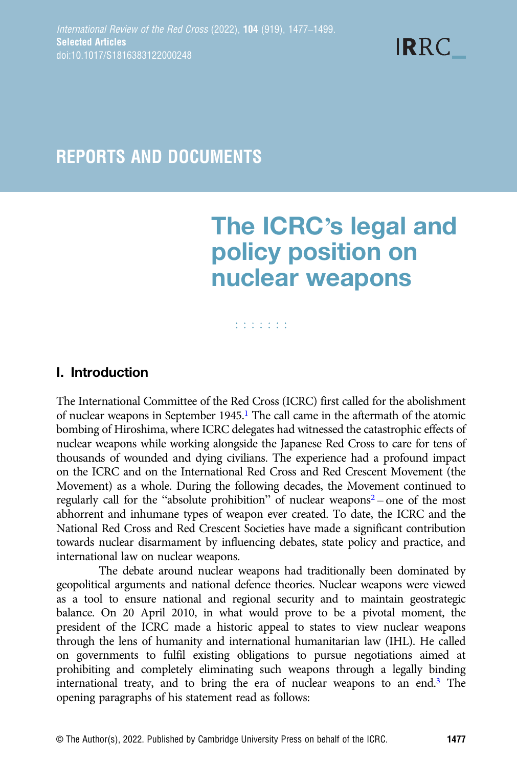**IRRC** 

## REPORTS AND DOCUMENTS

# The ICRC's legal and policy position on nuclear weapons

#### **Editoria**

## I. Introduction

The International Committee of the Red Cross (ICRC) first called for the abolishment of nuclear weapons in September 1945[.1](#page-1-0) The call came in the aftermath of the atomic bombing of Hiroshima, where ICRC delegates had witnessed the catastrophic effects of nuclear weapons while working alongside the Japanese Red Cross to care for tens of thousands of wounded and dying civilians. The experience had a profound impact on the ICRC and on the International Red Cross and Red Crescent Movement (the Movement) as a whole. During the following decades, the Movement continued to regularly call for the "absolute prohibition" of nuclear weapons<sup>2</sup> – one of the most abhorrent and inhumane types of weapon ever created. To date, the ICRC and the National Red Cross and Red Crescent Societies have made a significant contribution towards nuclear disarmament by influencing debates, state policy and practice, and international law on nuclear weapons.

The debate around nuclear weapons had traditionally been dominated by geopolitical arguments and national defence theories. Nuclear weapons were viewed as a tool to ensure national and regional security and to maintain geostrategic balance. On 20 April 2010, in what would prove to be a pivotal moment, the president of the ICRC made a historic appeal to states to view nuclear weapons through the lens of humanity and international humanitarian law (IHL). He called on governments to fulfil existing obligations to pursue negotiations aimed at prohibiting and completely eliminating such weapons through a legally binding international treaty, and to bring the era of nuclear weapons to an end.[3](#page-1-0) The opening paragraphs of his statement read as follows: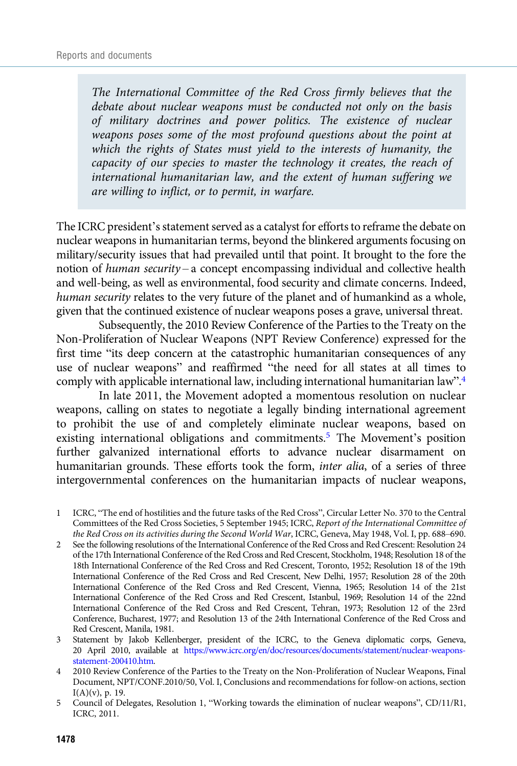<span id="page-1-0"></span>The International Committee of the Red Cross firmly believes that the debate about nuclear weapons must be conducted not only on the basis of military doctrines and power politics. The existence of nuclear weapons poses some of the most profound questions about the point at which the rights of States must yield to the interests of humanity, the capacity of our species to master the technology it creates, the reach of international humanitarian law, and the extent of human suffering we are willing to inflict, or to permit, in warfare.

The ICRC president's statement served as a catalyst for efforts to reframe the debate on nuclear weapons in humanitarian terms, beyond the blinkered arguments focusing on military/security issues that had prevailed until that point. It brought to the fore the notion of human security – a concept encompassing individual and collective health and well-being, as well as environmental, food security and climate concerns. Indeed, human security relates to the very future of the planet and of humankind as a whole, given that the continued existence of nuclear weapons poses a grave, universal threat.

Subsequently, the 2010 Review Conference of the Parties to the Treaty on the Non-Proliferation of Nuclear Weapons (NPT Review Conference) expressed for the first time "its deep concern at the catastrophic humanitarian consequences of any use of nuclear weapons" and reaffirmed "the need for all states at all times to comply with applicable international law, including international humanitarian law".4

In late 2011, the Movement adopted a momentous resolution on nuclear weapons, calling on states to negotiate a legally binding international agreement to prohibit the use of and completely eliminate nuclear weapons, based on existing international obligations and commitments.5 The Movement's position further galvanized international efforts to advance nuclear disarmament on humanitarian grounds. These efforts took the form, inter alia, of a series of three intergovernmental conferences on the humanitarian impacts of nuclear weapons,

<sup>1</sup> ICRC, "The end of hostilities and the future tasks of the Red Cross", Circular Letter No. 370 to the Central Committees of the Red Cross Societies, 5 September 1945; ICRC, Report of the International Committee of the Red Cross on its activities during the Second World War, ICRC, Geneva, May 1948, Vol. I, pp. 688–690.

<sup>2</sup> See the following resolutions of the International Conference of the Red Cross and Red Crescent: Resolution 24 of the 17th International Conference of the Red Cross and Red Crescent, Stockholm, 1948; Resolution 18 of the 18th International Conference of the Red Cross and Red Crescent, Toronto, 1952; Resolution 18 of the 19th International Conference of the Red Cross and Red Crescent, New Delhi, 1957; Resolution 28 of the 20th International Conference of the Red Cross and Red Crescent, Vienna, 1965; Resolution 14 of the 21st International Conference of the Red Cross and Red Crescent, Istanbul, 1969; Resolution 14 of the 22nd International Conference of the Red Cross and Red Crescent, Tehran, 1973; Resolution 12 of the 23rd Conference, Bucharest, 1977; and Resolution 13 of the 24th International Conference of the Red Cross and Red Crescent, Manila, 1981.

<sup>3</sup> Statement by Jakob Kellenberger, president of the ICRC, to the Geneva diplomatic corps, Geneva, 20 April 2010, available at [https://www.icrc.org/en/doc/resources/documents/statement/nuclear-weapons](https://www.icrc.org/en/doc/resources/documents/statement/nuclear-weapons-statement-200410.htm)[statement-200410.htm](https://www.icrc.org/en/doc/resources/documents/statement/nuclear-weapons-statement-200410.htm).

<sup>4 2010</sup> Review Conference of the Parties to the Treaty on the Non-Proliferation of Nuclear Weapons, Final Document, NPT/CONF.2010/50, Vol. I, Conclusions and recommendations for follow-on actions, section  $I(A)(v)$ , p. 19.

<sup>5</sup> Council of Delegates, Resolution 1, "Working towards the elimination of nuclear weapons", CD/11/R1, ICRC, 2011.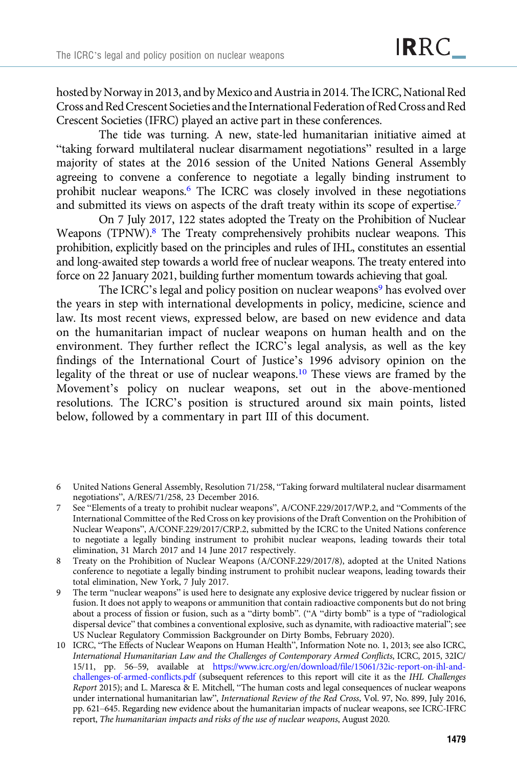hosted by Norway in 2013, and byMexico and Austria in 2014. The ICRC, National Red Cross and Red Crescent Societies and the International Federation ofRed Cross andRed Crescent Societies (IFRC) played an active part in these conferences.

The tide was turning. A new, state-led humanitarian initiative aimed at "taking forward multilateral nuclear disarmament negotiations" resulted in a large majority of states at the 2016 session of the United Nations General Assembly agreeing to convene a conference to negotiate a legally binding instrument to prohibit nuclear weapons.6 The ICRC was closely involved in these negotiations and submitted its views on aspects of the draft treaty within its scope of expertise.<sup>7</sup>

On 7 July 2017, 122 states adopted the Treaty on the Prohibition of Nuclear Weapons (TPNW).<sup>8</sup> The Treaty comprehensively prohibits nuclear weapons. This prohibition, explicitly based on the principles and rules of IHL, constitutes an essential and long-awaited step towards a world free of nuclear weapons. The treaty entered into force on 22 January 2021, building further momentum towards achieving that goal.

The ICRC's legal and policy position on nuclear weapons<sup>9</sup> has evolved over the years in step with international developments in policy, medicine, science and law. Its most recent views, expressed below, are based on new evidence and data on the humanitarian impact of nuclear weapons on human health and on the environment. They further reflect the ICRC's legal analysis, as well as the key findings of the International Court of Justice's 1996 advisory opinion on the legality of the threat or use of nuclear weapons.10 These views are framed by the Movement's policy on nuclear weapons, set out in the above-mentioned resolutions. The ICRC's position is structured around six main points, listed below, followed by a commentary in part III of this document.

<sup>6</sup> United Nations General Assembly, Resolution 71/258, "Taking forward multilateral nuclear disarmament negotiations", A/RES/71/258, 23 December 2016.

<sup>7</sup> See "Elements of a treaty to prohibit nuclear weapons", A/CONF.229/2017/WP.2, and "Comments of the International Committee of the Red Cross on key provisions of the Draft Convention on the Prohibition of Nuclear Weapons", A/CONF.229/2017/CRP.2, submitted by the ICRC to the United Nations conference to negotiate a legally binding instrument to prohibit nuclear weapons, leading towards their total elimination, 31 March 2017 and 14 June 2017 respectively.

<sup>8</sup> Treaty on the Prohibition of Nuclear Weapons (A/CONF.229/2017/8), adopted at the United Nations conference to negotiate a legally binding instrument to prohibit nuclear weapons, leading towards their total elimination, New York, 7 July 2017.

<sup>9</sup> The term "nuclear weapons" is used here to designate any explosive device triggered by nuclear fission or fusion. It does not apply to weapons or ammunition that contain radioactive components but do not bring about a process of fission or fusion, such as a "dirty bomb". ("A "dirty bomb" is a type of "radiological dispersal device" that combines a conventional explosive, such as dynamite, with radioactive material"; see US Nuclear Regulatory Commission Backgrounder on Dirty Bombs, February 2020).

<sup>10</sup> ICRC, "The Effects of Nuclear Weapons on Human Health", Information Note no. 1, 2013; see also ICRC, International Humanitarian Law and the Challenges of Contemporary Armed Conflicts, ICRC, 2015, 32IC/ 15/11, pp. 56–59, available at [https://www.icrc.org/en/download/file/15061/32ic-report-on-ihl-and](https://www.icrc.org/en/download/file/15061/32ic-report-on-ihl-and-challenges-of-armed-conflicts.pdf)[challenges-of-armed-conflicts.pdf](https://www.icrc.org/en/download/file/15061/32ic-report-on-ihl-and-challenges-of-armed-conflicts.pdf) (subsequent references to this report will cite it as the IHL Challenges Report 2015); and L. Maresca & E. Mitchell, "The human costs and legal consequences of nuclear weapons under international humanitarian law", International Review of the Red Cross, Vol. 97, No. 899, July 2016, pp. 621–645. Regarding new evidence about the humanitarian impacts of nuclear weapons, see ICRC-IFRC report, The humanitarian impacts and risks of the use of nuclear weapons, August 2020.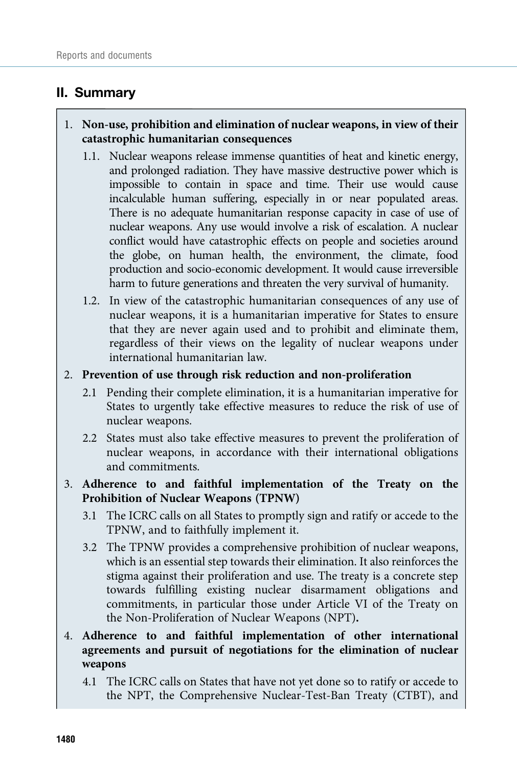## II. Summary

## 1. Non-use, prohibition and elimination of nuclear weapons, in view of their catastrophic humanitarian consequences

- 1.1. Nuclear weapons release immense quantities of heat and kinetic energy, and prolonged radiation. They have massive destructive power which is impossible to contain in space and time. Their use would cause incalculable human suffering, especially in or near populated areas. There is no adequate humanitarian response capacity in case of use of nuclear weapons. Any use would involve a risk of escalation. A nuclear conflict would have catastrophic effects on people and societies around the globe, on human health, the environment, the climate, food production and socio-economic development. It would cause irreversible harm to future generations and threaten the very survival of humanity.
- 1.2. In view of the catastrophic humanitarian consequences of any use of nuclear weapons, it is a humanitarian imperative for States to ensure that they are never again used and to prohibit and eliminate them, regardless of their views on the legality of nuclear weapons under international humanitarian law.

#### 2. Prevention of use through risk reduction and non-proliferation

- 2.1 Pending their complete elimination, it is a humanitarian imperative for States to urgently take effective measures to reduce the risk of use of nuclear weapons.
- 2.2 States must also take effective measures to prevent the proliferation of nuclear weapons, in accordance with their international obligations and commitments.

## 3. Adherence to and faithful implementation of the Treaty on the Prohibition of Nuclear Weapons (TPNW)

- 3.1 The ICRC calls on all States to promptly sign and ratify or accede to the TPNW, and to faithfully implement it.
- 3.2 The TPNW provides a comprehensive prohibition of nuclear weapons, which is an essential step towards their elimination. It also reinforces the stigma against their proliferation and use. The treaty is a concrete step towards fulfilling existing nuclear disarmament obligations and commitments, in particular those under Article VI of the Treaty on the Non-Proliferation of Nuclear Weapons (NPT).
- 4. Adherence to and faithful implementation of other international agreements and pursuit of negotiations for the elimination of nuclear weapons
	- 4.1 The ICRC calls on States that have not yet done so to ratify or accede to the NPT, the Comprehensive Nuclear-Test-Ban Treaty (CTBT), and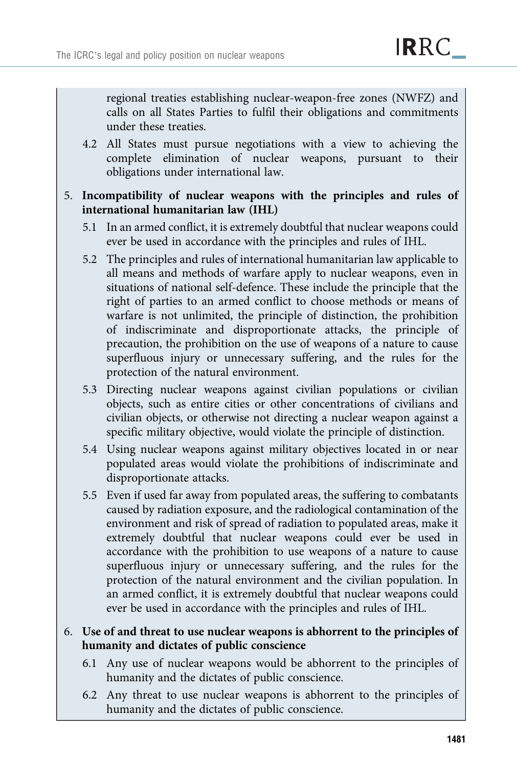regional treaties establishing nuclear-weapon-free zones (NWFZ) and calls on all States Parties to fulfil their obligations and commitments under these treaties.

4.2 All States must pursue negotiations with a view to achieving the complete elimination of nuclear weapons, pursuant to their obligations under international law.

## 5. Incompatibility of nuclear weapons with the principles and rules of international humanitarian law (IHL)

- 5.1 In an armed conflict, it is extremely doubtful that nuclear weapons could ever be used in accordance with the principles and rules of IHL.
- 5.2 The principles and rules of international humanitarian law applicable to all means and methods of warfare apply to nuclear weapons, even in situations of national self-defence. These include the principle that the right of parties to an armed conflict to choose methods or means of warfare is not unlimited, the principle of distinction, the prohibition of indiscriminate and disproportionate attacks, the principle of precaution, the prohibition on the use of weapons of a nature to cause superfluous injury or unnecessary suffering, and the rules for the protection of the natural environment.
- 5.3 Directing nuclear weapons against civilian populations or civilian objects, such as entire cities or other concentrations of civilians and civilian objects, or otherwise not directing a nuclear weapon against a specific military objective, would violate the principle of distinction.
- 5.4 Using nuclear weapons against military objectives located in or near populated areas would violate the prohibitions of indiscriminate and disproportionate attacks.
- 5.5 Even if used far away from populated areas, the suffering to combatants caused by radiation exposure, and the radiological contamination of the environment and risk of spread of radiation to populated areas, make it extremely doubtful that nuclear weapons could ever be used in accordance with the prohibition to use weapons of a nature to cause superfluous injury or unnecessary suffering, and the rules for the protection of the natural environment and the civilian population. In an armed conflict, it is extremely doubtful that nuclear weapons could ever be used in accordance with the principles and rules of IHL.

## 6. Use of and threat to use nuclear weapons is abhorrent to the principles of humanity and dictates of public conscience

- 6.1 Any use of nuclear weapons would be abhorrent to the principles of humanity and the dictates of public conscience.
- 6.2 Any threat to use nuclear weapons is abhorrent to the principles of humanity and the dictates of public conscience.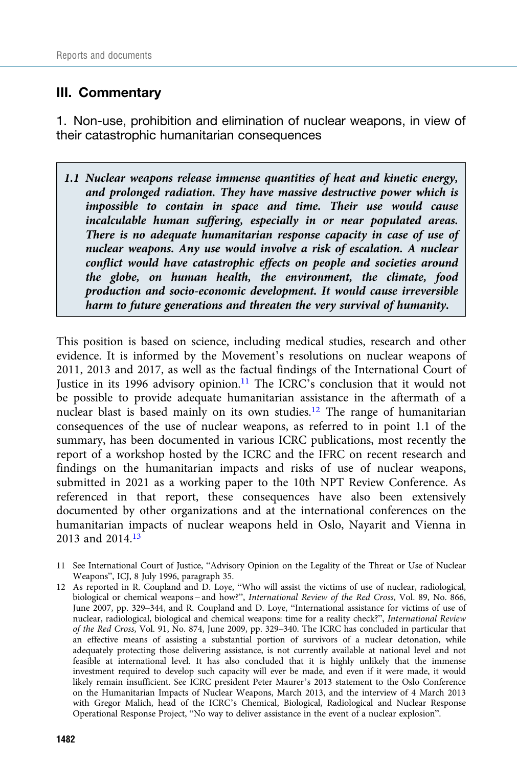## III. Commentary

1. Non-use, prohibition and elimination of nuclear weapons, in view of their catastrophic humanitarian consequences

1.1 Nuclear weapons release immense quantities of heat and kinetic energy, and prolonged radiation. They have massive destructive power which is impossible to contain in space and time. Their use would cause incalculable human suffering, especially in or near populated areas. There is no adequate humanitarian response capacity in case of use of nuclear weapons. Any use would involve a risk of escalation. A nuclear conflict would have catastrophic effects on people and societies around the globe, on human health, the environment, the climate, food production and socio-economic development. It would cause irreversible harm to future generations and threaten the very survival of humanity.

This position is based on science, including medical studies, research and other evidence. It is informed by the Movement's resolutions on nuclear weapons of 2011, 2013 and 2017, as well as the factual findings of the International Court of Justice in its 1996 advisory opinion.<sup>11</sup> The ICRC's conclusion that it would not be possible to provide adequate humanitarian assistance in the aftermath of a nuclear blast is based mainly on its own studies.12 The range of humanitarian consequences of the use of nuclear weapons, as referred to in point 1.1 of the summary, has been documented in various ICRC publications, most recently the report of a workshop hosted by the ICRC and the IFRC on recent research and findings on the humanitarian impacts and risks of use of nuclear weapons, submitted in 2021 as a working paper to the 10th NPT Review Conference. As referenced in that report, these consequences have also been extensively documented by other organizations and at the international conferences on the humanitarian impacts of nuclear weapons held in Oslo, Nayarit and Vienna in 2013 and 2014[.13](#page-6-0)

- 11 See International Court of Justice, "Advisory Opinion on the Legality of the Threat or Use of Nuclear Weapons", ICJ, 8 July 1996, paragraph 35.
- 12 As reported in R. Coupland and D. Loye, "Who will assist the victims of use of nuclear, radiological, biological or chemical weapons – and how?", International Review of the Red Cross, Vol. 89, No. 866, June 2007, pp. 329–344, and R. Coupland and D. Loye, "International assistance for victims of use of nuclear, radiological, biological and chemical weapons: time for a reality check?", International Review of the Red Cross, Vol. 91, No. 874, June 2009, pp. 329–340. The ICRC has concluded in particular that an effective means of assisting a substantial portion of survivors of a nuclear detonation, while adequately protecting those delivering assistance, is not currently available at national level and not feasible at international level. It has also concluded that it is highly unlikely that the immense investment required to develop such capacity will ever be made, and even if it were made, it would likely remain insufficient. See ICRC president Peter Maurer's 2013 statement to the Oslo Conference on the Humanitarian Impacts of Nuclear Weapons, March 2013, and the interview of 4 March 2013 with Gregor Malich, head of the ICRC's Chemical, Biological, Radiological and Nuclear Response Operational Response Project, "No way to deliver assistance in the event of a nuclear explosion".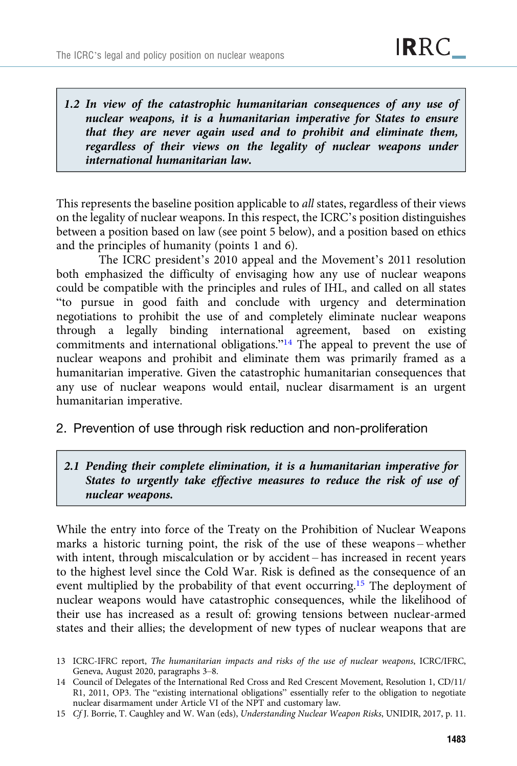<span id="page-6-0"></span>1.2 In view of the catastrophic humanitarian consequences of any use of nuclear weapons, it is a humanitarian imperative for States to ensure that they are never again used and to prohibit and eliminate them, regardless of their views on the legality of nuclear weapons under international humanitarian law.

This represents the baseline position applicable to *all* states, regardless of their views on the legality of nuclear weapons. In this respect, the ICRC's position distinguishes between a position based on law (see point 5 below), and a position based on ethics and the principles of humanity (points 1 and 6).

The ICRC president's 2010 appeal and the Movement's 2011 resolution both emphasized the difficulty of envisaging how any use of nuclear weapons could be compatible with the principles and rules of IHL, and called on all states "to pursue in good faith and conclude with urgency and determination negotiations to prohibit the use of and completely eliminate nuclear weapons through a legally binding international agreement, based on existing commitments and international obligations."<sup>14</sup> The appeal to prevent the use of nuclear weapons and prohibit and eliminate them was primarily framed as a humanitarian imperative. Given the catastrophic humanitarian consequences that any use of nuclear weapons would entail, nuclear disarmament is an urgent humanitarian imperative.

2. Prevention of use through risk reduction and non-proliferation

## 2.1 Pending their complete elimination, it is a humanitarian imperative for States to urgently take effective measures to reduce the risk of use of nuclear weapons.

While the entry into force of the Treaty on the Prohibition of Nuclear Weapons marks a historic turning point, the risk of the use of these weapons – whether with intent, through miscalculation or by accident – has increased in recent years to the highest level since the Cold War. Risk is defined as the consequence of an event multiplied by the probability of that event occurring.15 The deployment of nuclear weapons would have catastrophic consequences, while the likelihood of their use has increased as a result of: growing tensions between nuclear-armed states and their allies; the development of new types of nuclear weapons that are

15 Cf J. Borrie, T. Caughley and W. Wan (eds), Understanding Nuclear Weapon Risks, UNIDIR, 2017, p. 11.

<sup>13</sup> ICRC-IFRC report, The humanitarian impacts and risks of the use of nuclear weapons, ICRC/IFRC, Geneva, August 2020, paragraphs 3–8.

<sup>14</sup> Council of Delegates of the International Red Cross and Red Crescent Movement, Resolution 1, CD/11/ R1, 2011, OP3. The "existing international obligations" essentially refer to the obligation to negotiate nuclear disarmament under Article VI of the NPT and customary law.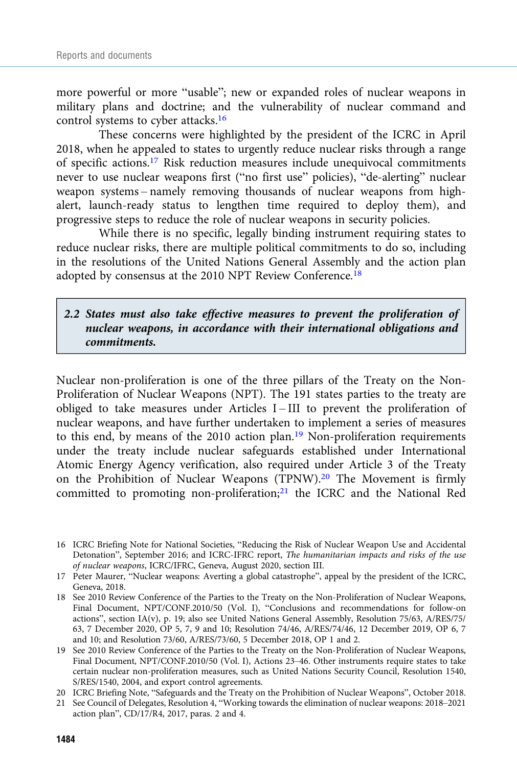more powerful or more "usable"; new or expanded roles of nuclear weapons in military plans and doctrine; and the vulnerability of nuclear command and control systems to cyber attacks.16

These concerns were highlighted by the president of the ICRC in April 2018, when he appealed to states to urgently reduce nuclear risks through a range of specific actions.17 Risk reduction measures include unequivocal commitments never to use nuclear weapons first ("no first use" policies), "de-alerting" nuclear weapon systems – namely removing thousands of nuclear weapons from highalert, launch-ready status to lengthen time required to deploy them), and progressive steps to reduce the role of nuclear weapons in security policies.

While there is no specific, legally binding instrument requiring states to reduce nuclear risks, there are multiple political commitments to do so, including in the resolutions of the United Nations General Assembly and the action plan adopted by consensus at the 2010 NPT Review Conference.<sup>18</sup>

## 2.2 States must also take effective measures to prevent the proliferation of nuclear weapons, in accordance with their international obligations and commitments.

Nuclear non-proliferation is one of the three pillars of the Treaty on the Non-Proliferation of Nuclear Weapons (NPT). The 191 states parties to the treaty are obliged to take measures under Articles  $I$  – III to prevent the proliferation of nuclear weapons, and have further undertaken to implement a series of measures to this end, by means of the 2010 action plan.<sup>19</sup> Non-proliferation requirements under the treaty include nuclear safeguards established under International Atomic Energy Agency verification, also required under Article 3 of the Treaty on the Prohibition of Nuclear Weapons (TPNW).20 The Movement is firmly committed to promoting non-proliferation;<sup>21</sup> the ICRC and the National Red

<sup>16</sup> ICRC Briefing Note for National Societies, "Reducing the Risk of Nuclear Weapon Use and Accidental Detonation", September 2016; and ICRC-IFRC report, The humanitarian impacts and risks of the use of nuclear weapons, ICRC/IFRC, Geneva, August 2020, section III.

<sup>17</sup> Peter Maurer, "Nuclear weapons: Averting a global catastrophe", appeal by the president of the ICRC, Geneva, 2018.

<sup>18</sup> See 2010 Review Conference of the Parties to the Treaty on the Non-Proliferation of Nuclear Weapons, Final Document, NPT/CONF.2010/50 (Vol. I), "Conclusions and recommendations for follow-on actions", section IA(v), p. 19; also see United Nations General Assembly, Resolution 75/63, A/RES/75/ 63, 7 December 2020, OP 5, 7, 9 and 10; Resolution 74/46, A/RES/74/46, 12 December 2019, OP 6, 7 and 10; and Resolution 73/60, A/RES/73/60, 5 December 2018, OP 1 and 2.

<sup>19</sup> See 2010 Review Conference of the Parties to the Treaty on the Non-Proliferation of Nuclear Weapons, Final Document, NPT/CONF.2010/50 (Vol. I), Actions 23–46. Other instruments require states to take certain nuclear non-proliferation measures, such as United Nations Security Council, Resolution 1540, S/RES/1540, 2004, and export control agreements.

<sup>20</sup> ICRC Briefing Note, "Safeguards and the Treaty on the Prohibition of Nuclear Weapons", October 2018.

<sup>21</sup> See Council of Delegates, Resolution 4, "Working towards the elimination of nuclear weapons: 2018–2021 action plan", CD/17/R4, 2017, paras. 2 and 4.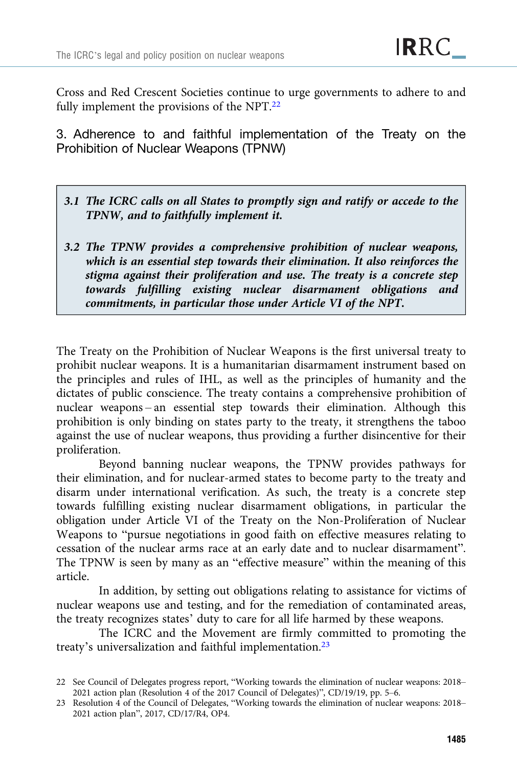Cross and Red Crescent Societies continue to urge governments to adhere to and fully implement the provisions of the NPT.22

3. Adherence to and faithful implementation of the Treaty on the Prohibition of Nuclear Weapons (TPNW)

- 3.1 The ICRC calls on all States to promptly sign and ratify or accede to the TPNW, and to faithfully implement it.
- 3.2 The TPNW provides a comprehensive prohibition of nuclear weapons, which is an essential step towards their elimination. It also reinforces the stigma against their proliferation and use. The treaty is a concrete step towards fulfilling existing nuclear disarmament obligations and commitments, in particular those under Article VI of the NPT.

The Treaty on the Prohibition of Nuclear Weapons is the first universal treaty to prohibit nuclear weapons. It is a humanitarian disarmament instrument based on the principles and rules of IHL, as well as the principles of humanity and the dictates of public conscience. The treaty contains a comprehensive prohibition of nuclear weapons – an essential step towards their elimination. Although this prohibition is only binding on states party to the treaty, it strengthens the taboo against the use of nuclear weapons, thus providing a further disincentive for their proliferation.

Beyond banning nuclear weapons, the TPNW provides pathways for their elimination, and for nuclear-armed states to become party to the treaty and disarm under international verification. As such, the treaty is a concrete step towards fulfilling existing nuclear disarmament obligations, in particular the obligation under Article VI of the Treaty on the Non-Proliferation of Nuclear Weapons to "pursue negotiations in good faith on effective measures relating to cessation of the nuclear arms race at an early date and to nuclear disarmament". The TPNW is seen by many as an "effective measure" within the meaning of this article.

In addition, by setting out obligations relating to assistance for victims of nuclear weapons use and testing, and for the remediation of contaminated areas, the treaty recognizes states' duty to care for all life harmed by these weapons.

The ICRC and the Movement are firmly committed to promoting the treaty's universalization and faithful implementation.23

<sup>22</sup> See Council of Delegates progress report, "Working towards the elimination of nuclear weapons: 2018– 2021 action plan (Resolution 4 of the 2017 Council of Delegates)", CD/19/19, pp. 5–6.

<sup>23</sup> Resolution 4 of the Council of Delegates, "Working towards the elimination of nuclear weapons: 2018– 2021 action plan", 2017, CD/17/R4, OP4.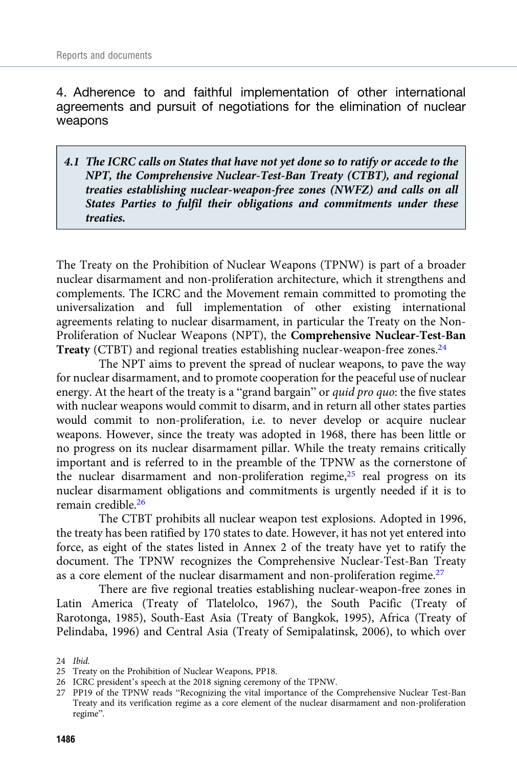4. Adherence to and faithful implementation of other international agreements and pursuit of negotiations for the elimination of nuclear weapons

4.1 The ICRC calls on States that have not yet done so to ratify or accede to the NPT, the Comprehensive Nuclear-Test-Ban Treaty (CTBT), and regional treaties establishing nuclear-weapon-free zones (NWFZ) and calls on all States Parties to fulfil their obligations and commitments under these treaties.

The Treaty on the Prohibition of Nuclear Weapons (TPNW) is part of a broader nuclear disarmament and non-proliferation architecture, which it strengthens and complements. The ICRC and the Movement remain committed to promoting the universalization and full implementation of other existing international agreements relating to nuclear disarmament, in particular the Treaty on the Non-Proliferation of Nuclear Weapons (NPT), the Comprehensive Nuclear-Test-Ban Treaty (CTBT) and regional treaties establishing nuclear-weapon-free zones.<sup>24</sup>

The NPT aims to prevent the spread of nuclear weapons, to pave the way for nuclear disarmament, and to promote cooperation for the peaceful use of nuclear energy. At the heart of the treaty is a "grand bargain" or quid pro quo: the five states with nuclear weapons would commit to disarm, and in return all other states parties would commit to non-proliferation, i.e. to never develop or acquire nuclear weapons. However, since the treaty was adopted in 1968, there has been little or no progress on its nuclear disarmament pillar. While the treaty remains critically important and is referred to in the preamble of the TPNW as the cornerstone of the nuclear disarmament and non-proliferation regime,<sup>25</sup> real progress on its nuclear disarmament obligations and commitments is urgently needed if it is to remain credible.26

The CTBT prohibits all nuclear weapon test explosions. Adopted in 1996, the treaty has been ratified by 170 states to date. However, it has not yet entered into force, as eight of the states listed in Annex 2 of the treaty have yet to ratify the document. The TPNW recognizes the Comprehensive Nuclear-Test-Ban Treaty as a core element of the nuclear disarmament and non-proliferation regime.27

There are five regional treaties establishing nuclear-weapon-free zones in Latin America (Treaty of Tlatelolco, 1967), the South Pacific (Treaty of Rarotonga, 1985), South-East Asia (Treaty of Bangkok, 1995), Africa (Treaty of Pelindaba, 1996) and Central Asia (Treaty of Semipalatinsk, 2006), to which over

<sup>24</sup> Ibid.

<sup>25</sup> Treaty on the Prohibition of Nuclear Weapons, PP18.

<sup>26</sup> ICRC president's speech at the 2018 signing ceremony of the TPNW.

<sup>27</sup> PP19 of the TPNW reads "Recognizing the vital importance of the Comprehensive Nuclear Test-Ban Treaty and its verification regime as a core element of the nuclear disarmament and non-proliferation regime".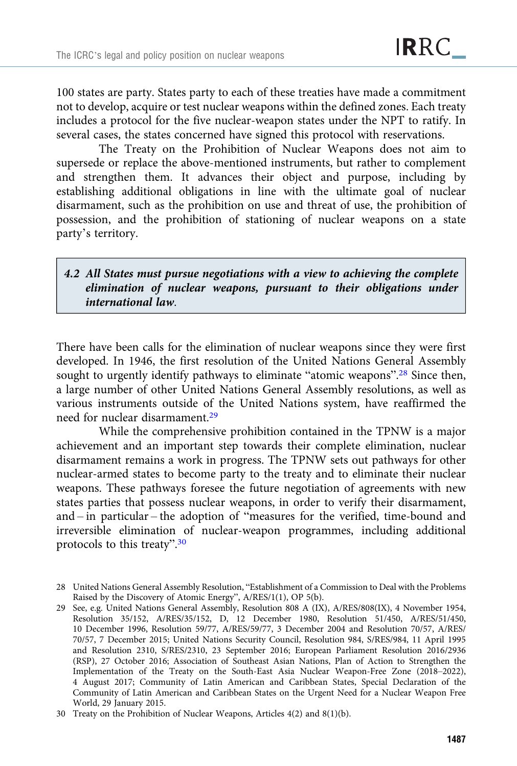100 states are party. States party to each of these treaties have made a commitment not to develop, acquire or test nuclear weapons within the defined zones. Each treaty includes a protocol for the five nuclear-weapon states under the NPT to ratify. In several cases, the states concerned have signed this protocol with reservations.

The Treaty on the Prohibition of Nuclear Weapons does not aim to supersede or replace the above-mentioned instruments, but rather to complement and strengthen them. It advances their object and purpose, including by establishing additional obligations in line with the ultimate goal of nuclear disarmament, such as the prohibition on use and threat of use, the prohibition of possession, and the prohibition of stationing of nuclear weapons on a state party's territory.

## 4.2 All States must pursue negotiations with a view to achieving the complete elimination of nuclear weapons, pursuant to their obligations under international law.

There have been calls for the elimination of nuclear weapons since they were first developed. In 1946, the first resolution of the United Nations General Assembly sought to urgently identify pathways to eliminate "atomic weapons".<sup>28</sup> Since then, a large number of other United Nations General Assembly resolutions, as well as various instruments outside of the United Nations system, have reaffirmed the need for nuclear disarmament.29

While the comprehensive prohibition contained in the TPNW is a major achievement and an important step towards their complete elimination, nuclear disarmament remains a work in progress. The TPNW sets out pathways for other nuclear-armed states to become party to the treaty and to eliminate their nuclear weapons. These pathways foresee the future negotiation of agreements with new states parties that possess nuclear weapons, in order to verify their disarmament, and – in particular – the adoption of "measures for the verified, time-bound and irreversible elimination of nuclear-weapon programmes, including additional protocols to this treaty".<sup>30</sup>

<sup>28</sup> United Nations General Assembly Resolution, "Establishment of a Commission to Deal with the Problems Raised by the Discovery of Atomic Energy", A/RES/1(1), OP 5(b).

<sup>29</sup> See, e.g. United Nations General Assembly, Resolution 808 A (IX), A/RES/808(IX), 4 November 1954, Resolution 35/152, A/RES/35/152, D, 12 December 1980, Resolution 51/450, A/RES/51/450, 10 December 1996, Resolution 59/77, A/RES/59/77, 3 December 2004 and Resolution 70/57, A/RES/ 70/57, 7 December 2015; United Nations Security Council, Resolution 984, S/RES/984, 11 April 1995 and Resolution 2310, S/RES/2310, 23 September 2016; European Parliament Resolution 2016/2936 (RSP), 27 October 2016; Association of Southeast Asian Nations, Plan of Action to Strengthen the Implementation of the Treaty on the South-East Asia Nuclear Weapon-Free Zone (2018–2022), 4 August 2017; Community of Latin American and Caribbean States, Special Declaration of the Community of Latin American and Caribbean States on the Urgent Need for a Nuclear Weapon Free World, 29 January 2015.

<sup>30</sup> Treaty on the Prohibition of Nuclear Weapons, Articles 4(2) and 8(1)(b).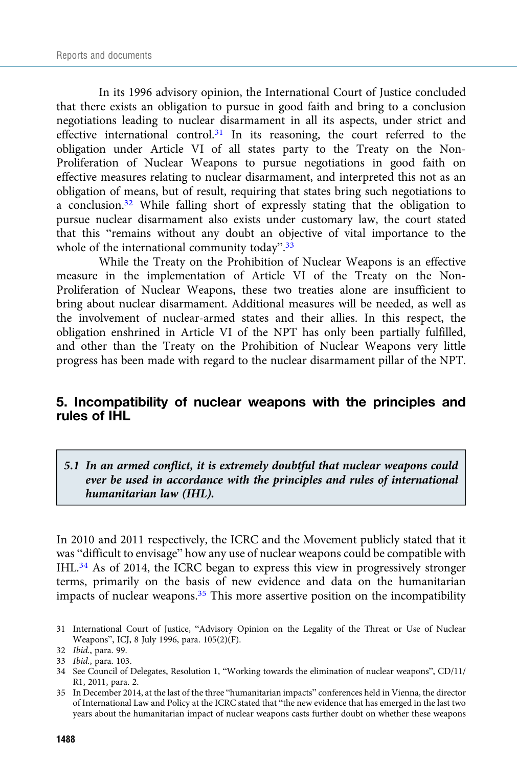In its 1996 advisory opinion, the International Court of Justice concluded that there exists an obligation to pursue in good faith and bring to a conclusion negotiations leading to nuclear disarmament in all its aspects, under strict and effective international control.31 In its reasoning, the court referred to the obligation under Article VI of all states party to the Treaty on the Non-Proliferation of Nuclear Weapons to pursue negotiations in good faith on effective measures relating to nuclear disarmament, and interpreted this not as an obligation of means, but of result, requiring that states bring such negotiations to a conclusion.32 While falling short of expressly stating that the obligation to pursue nuclear disarmament also exists under customary law, the court stated that this "remains without any doubt an objective of vital importance to the whole of the international community today".<sup>33</sup>

While the Treaty on the Prohibition of Nuclear Weapons is an effective measure in the implementation of Article VI of the Treaty on the Non-Proliferation of Nuclear Weapons, these two treaties alone are insufficient to bring about nuclear disarmament. Additional measures will be needed, as well as the involvement of nuclear-armed states and their allies. In this respect, the obligation enshrined in Article VI of the NPT has only been partially fulfilled, and other than the Treaty on the Prohibition of Nuclear Weapons very little progress has been made with regard to the nuclear disarmament pillar of the NPT.

## 5. Incompatibility of nuclear weapons with the principles and rules of IHL

## 5.1 In an armed conflict, it is extremely doubtful that nuclear weapons could ever be used in accordance with the principles and rules of international humanitarian law (IHL).

In 2010 and 2011 respectively, the ICRC and the Movement publicly stated that it was "difficult to envisage" how any use of nuclear weapons could be compatible with IHL.34 As of 2014, the ICRC began to express this view in progressively stronger terms, primarily on the basis of new evidence and data on the humanitarian impacts of nuclear weapons.35 This more assertive position on the incompatibility

<sup>31</sup> International Court of Justice, "Advisory Opinion on the Legality of the Threat or Use of Nuclear Weapons", ICJ, 8 July 1996, para. 105(2)(F).

<sup>32</sup> Ibid., para. 99.

<sup>33</sup> Ibid., para. 103.

<sup>34</sup> See Council of Delegates, Resolution 1, "Working towards the elimination of nuclear weapons", CD/11/ R1, 2011, para. 2.

<sup>35</sup> In December 2014, at the last of the three "humanitarian impacts" conferences held in Vienna, the director of International Law and Policy at the ICRC stated that "the new evidence that has emerged in the last two years about the humanitarian impact of nuclear weapons casts further doubt on whether these weapons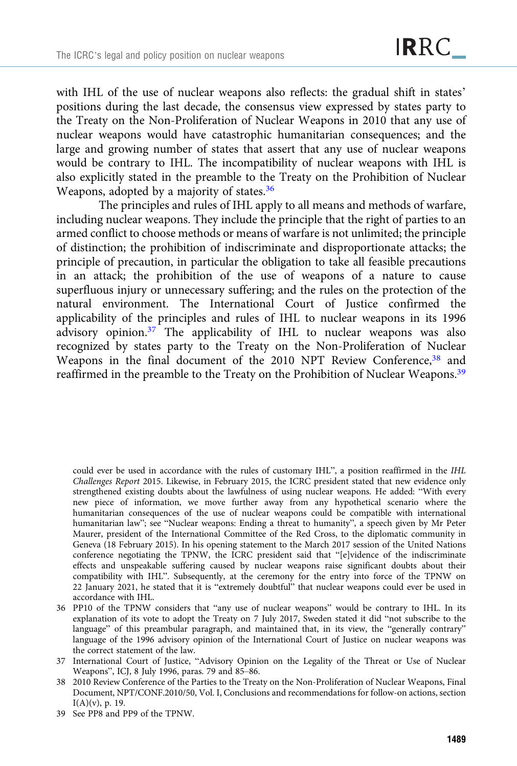with IHL of the use of nuclear weapons also reflects: the gradual shift in states' positions during the last decade, the consensus view expressed by states party to the Treaty on the Non-Proliferation of Nuclear Weapons in 2010 that any use of nuclear weapons would have catastrophic humanitarian consequences; and the large and growing number of states that assert that any use of nuclear weapons would be contrary to IHL. The incompatibility of nuclear weapons with IHL is also explicitly stated in the preamble to the Treaty on the Prohibition of Nuclear Weapons, adopted by a majority of states.<sup>36</sup>

The principles and rules of IHL apply to all means and methods of warfare, including nuclear weapons. They include the principle that the right of parties to an armed conflict to choose methods or means of warfare is not unlimited; the principle of distinction; the prohibition of indiscriminate and disproportionate attacks; the principle of precaution, in particular the obligation to take all feasible precautions in an attack; the prohibition of the use of weapons of a nature to cause superfluous injury or unnecessary suffering; and the rules on the protection of the natural environment. The International Court of Justice confirmed the applicability of the principles and rules of IHL to nuclear weapons in its 1996 advisory opinion.37 The applicability of IHL to nuclear weapons was also recognized by states party to the Treaty on the Non-Proliferation of Nuclear Weapons in the final document of the 2010 NPT Review Conference,<sup>38</sup> and reaffirmed in the preamble to the Treaty on the Prohibition of Nuclear Weapons.<sup>39</sup>

could ever be used in accordance with the rules of customary IHL", a position reaffirmed in the IHL Challenges Report 2015. Likewise, in February 2015, the ICRC president stated that new evidence only strengthened existing doubts about the lawfulness of using nuclear weapons. He added: "With every new piece of information, we move further away from any hypothetical scenario where the humanitarian consequences of the use of nuclear weapons could be compatible with international humanitarian law"; see "Nuclear weapons: Ending a threat to humanity", a speech given by Mr Peter Maurer, president of the International Committee of the Red Cross, to the diplomatic community in Geneva (18 February 2015). In his opening statement to the March 2017 session of the United Nations conference negotiating the TPNW, the ICRC president said that "[e]vidence of the indiscriminate effects and unspeakable suffering caused by nuclear weapons raise significant doubts about their compatibility with IHL". Subsequently, at the ceremony for the entry into force of the TPNW on 22 January 2021, he stated that it is "extremely doubtful" that nuclear weapons could ever be used in accordance with IHL.

<sup>36</sup> PP10 of the TPNW considers that "any use of nuclear weapons" would be contrary to IHL. In its explanation of its vote to adopt the Treaty on 7 July 2017, Sweden stated it did "not subscribe to the language" of this preambular paragraph, and maintained that, in its view, the "generally contrary" language of the 1996 advisory opinion of the International Court of Justice on nuclear weapons was the correct statement of the law.

<sup>37</sup> International Court of Justice, "Advisory Opinion on the Legality of the Threat or Use of Nuclear Weapons", ICJ, 8 July 1996, paras. 79 and 85–86.

<sup>38 2010</sup> Review Conference of the Parties to the Treaty on the Non-Proliferation of Nuclear Weapons, Final Document, NPT/CONF.2010/50, Vol. I, Conclusions and recommendations for follow-on actions, section I(A)(v), p. 19.

<sup>39</sup> See PP8 and PP9 of the TPNW.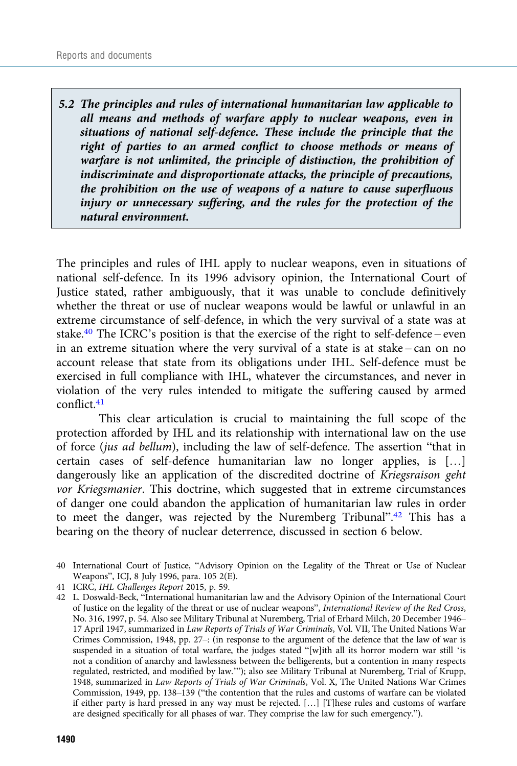5.2 The principles and rules of international humanitarian law applicable to all means and methods of warfare apply to nuclear weapons, even in situations of national self-defence. These include the principle that the right of parties to an armed conflict to choose methods or means of warfare is not unlimited, the principle of distinction, the prohibition of indiscriminate and disproportionate attacks, the principle of precautions, the prohibition on the use of weapons of a nature to cause superfluous injury or unnecessary suffering, and the rules for the protection of the natural environment.

The principles and rules of IHL apply to nuclear weapons, even in situations of national self-defence. In its 1996 advisory opinion, the International Court of Justice stated, rather ambiguously, that it was unable to conclude definitively whether the threat or use of nuclear weapons would be lawful or unlawful in an extreme circumstance of self-defence, in which the very survival of a state was at stake.<sup>40</sup> The ICRC's position is that the exercise of the right to self-defence – even in an extreme situation where the very survival of a state is at stake – can on no account release that state from its obligations under IHL. Self-defence must be exercised in full compliance with IHL, whatever the circumstances, and never in violation of the very rules intended to mitigate the suffering caused by armed conflict.41

This clear articulation is crucial to maintaining the full scope of the protection afforded by IHL and its relationship with international law on the use of force (jus ad bellum), including the law of self-defence. The assertion "that in certain cases of self-defence humanitarian law no longer applies, is […] dangerously like an application of the discredited doctrine of Kriegsraison geht vor Kriegsmanier. This doctrine, which suggested that in extreme circumstances of danger one could abandon the application of humanitarian law rules in order to meet the danger, was rejected by the Nuremberg Tribunal".<sup>42</sup> This has a bearing on the theory of nuclear deterrence, discussed in section 6 below.

41 ICRC, IHL Challenges Report 2015, p. 59.

42 L. Doswald-Beck, "International humanitarian law and the Advisory Opinion of the International Court of Justice on the legality of the threat or use of nuclear weapons", International Review of the Red Cross, No. 316, 1997, p. 54. Also see Military Tribunal at Nuremberg, Trial of Erhard Milch, 20 December 1946– 17 April 1947, summarized in Law Reports of Trials of War Criminals, Vol. VII, The United Nations War Crimes Commission, 1948, pp. 27–: (in response to the argument of the defence that the law of war is suspended in a situation of total warfare, the judges stated "[w]ith all its horror modern war still 'is not a condition of anarchy and lawlessness between the belligerents, but a contention in many respects regulated, restricted, and modified by law.'"); also see Military Tribunal at Nuremberg, Trial of Krupp, 1948, summarized in Law Reports of Trials of War Criminals, Vol. X, The United Nations War Crimes Commission, 1949, pp. 138–139 ("the contention that the rules and customs of warfare can be violated if either party is hard pressed in any way must be rejected. […] [T]hese rules and customs of warfare are designed specifically for all phases of war. They comprise the law for such emergency.").

<sup>40</sup> International Court of Justice, "Advisory Opinion on the Legality of the Threat or Use of Nuclear Weapons", ICJ, 8 July 1996, para. 105 2(E).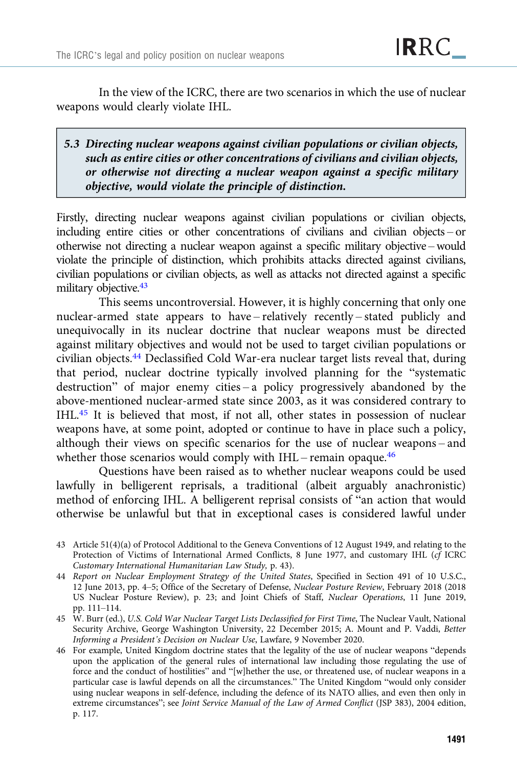In the view of the ICRC, there are two scenarios in which the use of nuclear weapons would clearly violate IHL.

## 5.3 Directing nuclear weapons against civilian populations or civilian objects, such as entire cities or other concentrations of civilians and civilian objects, or otherwise not directing a nuclear weapon against a specific military objective, would violate the principle of distinction.

Firstly, directing nuclear weapons against civilian populations or civilian objects, including entire cities or other concentrations of civilians and civilian objects – or otherwise not directing a nuclear weapon against a specific military objective – would violate the principle of distinction, which prohibits attacks directed against civilians, civilian populations or civilian objects, as well as attacks not directed against a specific military objective.<sup>43</sup>

This seems uncontroversial. However, it is highly concerning that only one nuclear-armed state appears to have – relatively recently – stated publicly and unequivocally in its nuclear doctrine that nuclear weapons must be directed against military objectives and would not be used to target civilian populations or civilian objects.44 Declassified Cold War-era nuclear target lists reveal that, during that period, nuclear doctrine typically involved planning for the "systematic destruction" of major enemy cities – a policy progressively abandoned by the above-mentioned nuclear-armed state since 2003, as it was considered contrary to IHL.45 It is believed that most, if not all, other states in possession of nuclear weapons have, at some point, adopted or continue to have in place such a policy, although their views on specific scenarios for the use of nuclear weapons – and whether those scenarios would comply with IHL – remain opaque.<sup>46</sup>

Questions have been raised as to whether nuclear weapons could be used lawfully in belligerent reprisals, a traditional (albeit arguably anachronistic) method of enforcing IHL. A belligerent reprisal consists of "an action that would otherwise be unlawful but that in exceptional cases is considered lawful under

<sup>43</sup> Article 51(4)(a) of Protocol Additional to the Geneva Conventions of 12 August 1949, and relating to the Protection of Victims of International Armed Conflicts, 8 June 1977, and customary IHL (cf ICRC Customary International Humanitarian Law Study, p. 43).

<sup>44</sup> Report on Nuclear Employment Strategy of the United States, Specified in Section 491 of 10 U.S.C., 12 June 2013, pp. 4–5; Office of the Secretary of Defense, Nuclear Posture Review, February 2018 (2018 US Nuclear Posture Review), p. 23; and Joint Chiefs of Staff, Nuclear Operations, 11 June 2019, pp. 111–114.

<sup>45</sup> W. Burr (ed.), U.S. Cold War Nuclear Target Lists Declassified for First Time, The Nuclear Vault, National Security Archive, George Washington University, 22 December 2015; A. Mount and P. Vaddi, Better Informing a President's Decision on Nuclear Use, Lawfare, 9 November 2020.

<sup>46</sup> For example, United Kingdom doctrine states that the legality of the use of nuclear weapons "depends upon the application of the general rules of international law including those regulating the use of force and the conduct of hostilities" and "[w]hether the use, or threatened use, of nuclear weapons in a particular case is lawful depends on all the circumstances." The United Kingdom "would only consider using nuclear weapons in self-defence, including the defence of its NATO allies, and even then only in extreme circumstances"; see Joint Service Manual of the Law of Armed Conflict (JSP 383), 2004 edition, p. 117.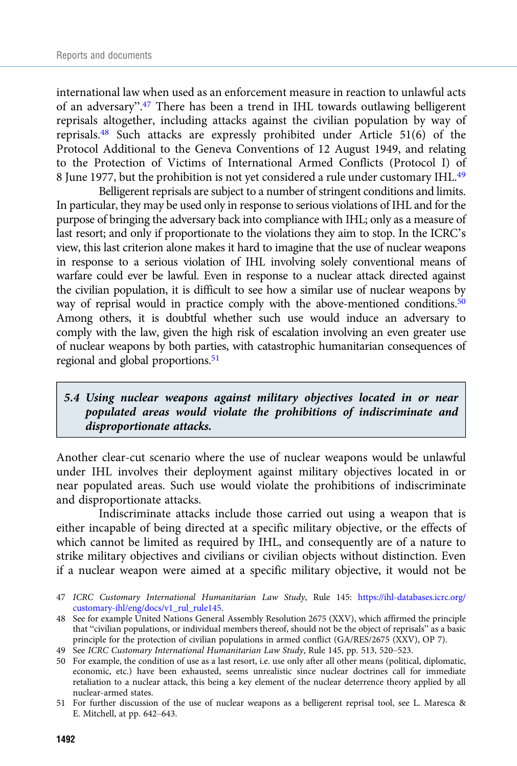international law when used as an enforcement measure in reaction to unlawful acts of an adversary".<sup>47</sup> There has been a trend in IHL towards outlawing belligerent reprisals altogether, including attacks against the civilian population by way of reprisals.48 Such attacks are expressly prohibited under Article 51(6) of the Protocol Additional to the Geneva Conventions of 12 August 1949, and relating to the Protection of Victims of International Armed Conflicts (Protocol I) of 8 June 1977, but the prohibition is not yet considered a rule under customary IHL.<sup>49</sup>

Belligerent reprisals are subject to a number of stringent conditions and limits. In particular, they may be used only in response to serious violations of IHL and for the purpose of bringing the adversary back into compliance with IHL; only as a measure of last resort; and only if proportionate to the violations they aim to stop. In the ICRC's view, this last criterion alone makes it hard to imagine that the use of nuclear weapons in response to a serious violation of IHL involving solely conventional means of warfare could ever be lawful. Even in response to a nuclear attack directed against the civilian population, it is difficult to see how a similar use of nuclear weapons by way of reprisal would in practice comply with the above-mentioned conditions.<sup>50</sup> Among others, it is doubtful whether such use would induce an adversary to comply with the law, given the high risk of escalation involving an even greater use of nuclear weapons by both parties, with catastrophic humanitarian consequences of regional and global proportions.<sup>51</sup>

## 5.4 Using nuclear weapons against military objectives located in or near populated areas would violate the prohibitions of indiscriminate and disproportionate attacks.

Another clear-cut scenario where the use of nuclear weapons would be unlawful under IHL involves their deployment against military objectives located in or near populated areas. Such use would violate the prohibitions of indiscriminate and disproportionate attacks.

Indiscriminate attacks include those carried out using a weapon that is either incapable of being directed at a specific military objective, or the effects of which cannot be limited as required by IHL, and consequently are of a nature to strike military objectives and civilians or civilian objects without distinction. Even if a nuclear weapon were aimed at a specific military objective, it would not be

- 47 ICRC Customary International Humanitarian Law Study, Rule 145: [https://ihl-databases.icrc.org/](https://ihl-databases.icrc.org/customary-ihl/eng/docs/v1_rul_rule145) [customary-ihl/eng/docs/v1\\_rul\\_rule145](https://ihl-databases.icrc.org/customary-ihl/eng/docs/v1_rul_rule145).
- 48 See for example United Nations General Assembly Resolution 2675 (XXV), which affirmed the principle that "civilian populations, or individual members thereof, should not be the object of reprisals" as a basic principle for the protection of civilian populations in armed conflict (GA/RES/2675 (XXV), OP 7).
- 49 See ICRC Customary International Humanitarian Law Study, Rule 145, pp. 513, 520–523.

50 For example, the condition of use as a last resort, i.e. use only after all other means (political, diplomatic, economic, etc.) have been exhausted, seems unrealistic since nuclear doctrines call for immediate retaliation to a nuclear attack, this being a key element of the nuclear deterrence theory applied by all nuclear-armed states.

<sup>51</sup> For further discussion of the use of nuclear weapons as a belligerent reprisal tool, see L. Maresca & E. Mitchell, at pp. 642–643.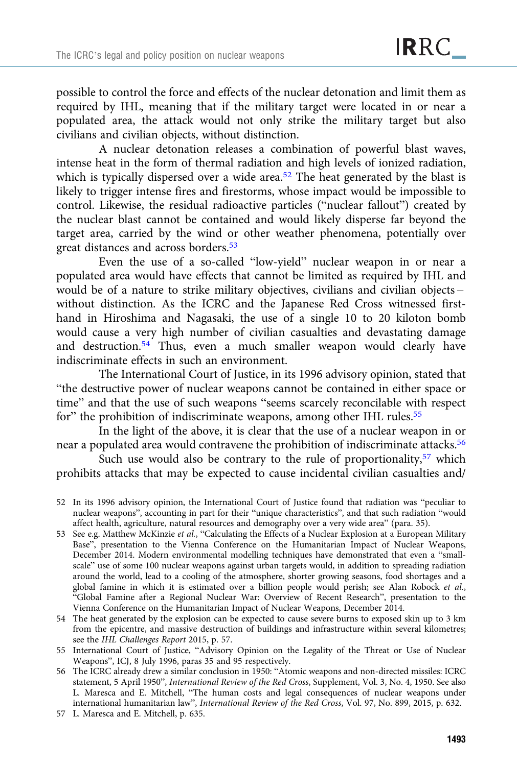possible to control the force and effects of the nuclear detonation and limit them as required by IHL, meaning that if the military target were located in or near a populated area, the attack would not only strike the military target but also civilians and civilian objects, without distinction.

A nuclear detonation releases a combination of powerful blast waves, intense heat in the form of thermal radiation and high levels of ionized radiation, which is typically dispersed over a wide area.<sup>52</sup> The heat generated by the blast is likely to trigger intense fires and firestorms, whose impact would be impossible to control. Likewise, the residual radioactive particles ("nuclear fallout") created by the nuclear blast cannot be contained and would likely disperse far beyond the target area, carried by the wind or other weather phenomena, potentially over great distances and across borders.53

Even the use of a so-called "low-yield" nuclear weapon in or near a populated area would have effects that cannot be limited as required by IHL and would be of a nature to strike military objectives, civilians and civilian objects – without distinction. As the ICRC and the Japanese Red Cross witnessed firsthand in Hiroshima and Nagasaki, the use of a single 10 to 20 kiloton bomb would cause a very high number of civilian casualties and devastating damage and destruction.<sup>54</sup> Thus, even a much smaller weapon would clearly have indiscriminate effects in such an environment.

The International Court of Justice, in its 1996 advisory opinion, stated that "the destructive power of nuclear weapons cannot be contained in either space or time" and that the use of such weapons "seems scarcely reconcilable with respect for" the prohibition of indiscriminate weapons, among other IHL rules.<sup>55</sup>

In the light of the above, it is clear that the use of a nuclear weapon in or near a populated area would contravene the prohibition of indiscriminate attacks.56

Such use would also be contrary to the rule of proportionality,  $57$  which prohibits attacks that may be expected to cause incidental civilian casualties and/

- 54 The heat generated by the explosion can be expected to cause severe burns to exposed skin up to 3 km from the epicentre, and massive destruction of buildings and infrastructure within several kilometres; see the IHL Challenges Report 2015, p. 57.
- 55 International Court of Justice, "Advisory Opinion on the Legality of the Threat or Use of Nuclear Weapons", ICJ, 8 July 1996, paras 35 and 95 respectively.
- 56 The ICRC already drew a similar conclusion in 1950: "Atomic weapons and non-directed missiles: ICRC statement, 5 April 1950", International Review of the Red Cross, Supplement, Vol. 3, No. 4, 1950. See also L. Maresca and E. Mitchell, "The human costs and legal consequences of nuclear weapons under international humanitarian law", International Review of the Red Cross, Vol. 97, No. 899, 2015, p. 632.
- 57 L. Maresca and E. Mitchell, p. 635.

<sup>52</sup> In its 1996 advisory opinion, the International Court of Justice found that radiation was "peculiar to nuclear weapons", accounting in part for their "unique characteristics", and that such radiation "would affect health, agriculture, natural resources and demography over a very wide area" (para. 35).

<sup>53</sup> See e.g. Matthew McKinzie et al., "Calculating the Effects of a Nuclear Explosion at a European Military Base", presentation to the Vienna Conference on the Humanitarian Impact of Nuclear Weapons, December 2014. Modern environmental modelling techniques have demonstrated that even a "smallscale" use of some 100 nuclear weapons against urban targets would, in addition to spreading radiation around the world, lead to a cooling of the atmosphere, shorter growing seasons, food shortages and a global famine in which it is estimated over a billion people would perish; see Alan Robock et al., "Global Famine after a Regional Nuclear War: Overview of Recent Research", presentation to the Vienna Conference on the Humanitarian Impact of Nuclear Weapons, December 2014.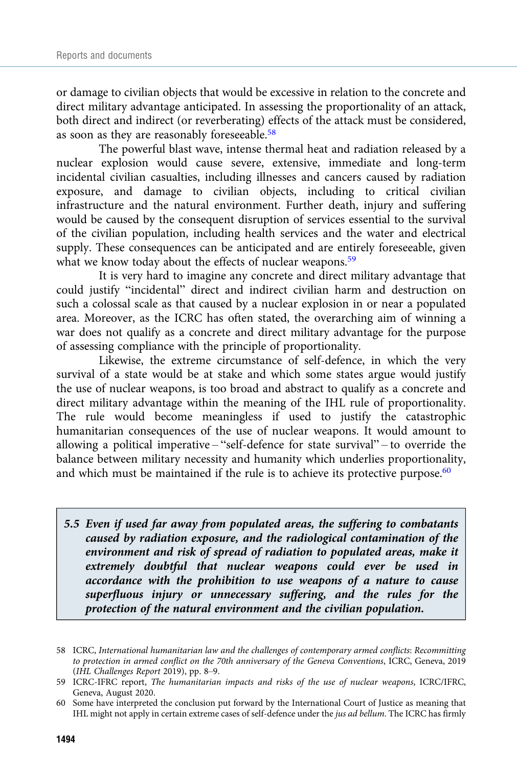or damage to civilian objects that would be excessive in relation to the concrete and direct military advantage anticipated. In assessing the proportionality of an attack, both direct and indirect (or reverberating) effects of the attack must be considered, as soon as they are reasonably foreseeable.<sup>58</sup>

The powerful blast wave, intense thermal heat and radiation released by a nuclear explosion would cause severe, extensive, immediate and long-term incidental civilian casualties, including illnesses and cancers caused by radiation exposure, and damage to civilian objects, including to critical civilian infrastructure and the natural environment. Further death, injury and suffering would be caused by the consequent disruption of services essential to the survival of the civilian population, including health services and the water and electrical supply. These consequences can be anticipated and are entirely foreseeable, given what we know today about the effects of nuclear weapons.<sup>59</sup>

It is very hard to imagine any concrete and direct military advantage that could justify "incidental" direct and indirect civilian harm and destruction on such a colossal scale as that caused by a nuclear explosion in or near a populated area. Moreover, as the ICRC has often stated, the overarching aim of winning a war does not qualify as a concrete and direct military advantage for the purpose of assessing compliance with the principle of proportionality.

Likewise, the extreme circumstance of self-defence, in which the very survival of a state would be at stake and which some states argue would justify the use of nuclear weapons, is too broad and abstract to qualify as a concrete and direct military advantage within the meaning of the IHL rule of proportionality. The rule would become meaningless if used to justify the catastrophic humanitarian consequences of the use of nuclear weapons. It would amount to allowing a political imperative – "self-defence for state survival" – to override the balance between military necessity and humanity which underlies proportionality, and which must be maintained if the rule is to achieve its protective purpose. $60$ 

5.5 Even if used far away from populated areas, the suffering to combatants caused by radiation exposure, and the radiological contamination of the environment and risk of spread of radiation to populated areas, make it extremely doubtful that nuclear weapons could ever be used in accordance with the prohibition to use weapons of a nature to cause superfluous injury or unnecessary suffering, and the rules for the protection of the natural environment and the civilian population.

<sup>58</sup> ICRC, International humanitarian law and the challenges of contemporary armed conflicts: Recommitting to protection in armed conflict on the 70th anniversary of the Geneva Conventions, ICRC, Geneva, 2019 (IHL Challenges Report 2019), pp. 8–9.

<sup>59</sup> ICRC-IFRC report, The humanitarian impacts and risks of the use of nuclear weapons, ICRC/IFRC, Geneva, August 2020.

<sup>60</sup> Some have interpreted the conclusion put forward by the International Court of Justice as meaning that IHL might not apply in certain extreme cases of self-defence under the jus ad bellum. The ICRC has firmly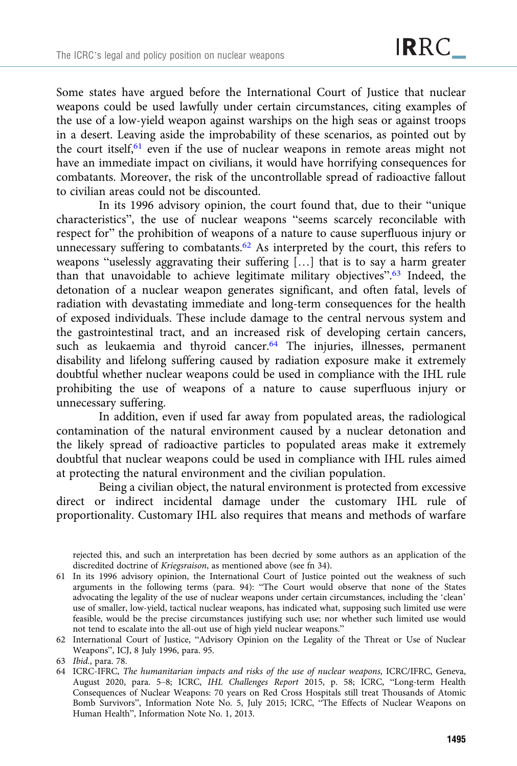Some states have argued before the International Court of Justice that nuclear weapons could be used lawfully under certain circumstances, citing examples of the use of a low-yield weapon against warships on the high seas or against troops in a desert. Leaving aside the improbability of these scenarios, as pointed out by the court itself,<sup>61</sup> even if the use of nuclear weapons in remote areas might not have an immediate impact on civilians, it would have horrifying consequences for combatants. Moreover, the risk of the uncontrollable spread of radioactive fallout to civilian areas could not be discounted.

In its 1996 advisory opinion, the court found that, due to their "unique characteristics", the use of nuclear weapons "seems scarcely reconcilable with respect for" the prohibition of weapons of a nature to cause superfluous injury or unnecessary suffering to combatants.<sup>62</sup> As interpreted by the court, this refers to weapons "uselessly aggravating their suffering […] that is to say a harm greater than that unavoidable to achieve legitimate military objectives".<sup>63</sup> Indeed, the detonation of a nuclear weapon generates significant, and often fatal, levels of radiation with devastating immediate and long-term consequences for the health of exposed individuals. These include damage to the central nervous system and the gastrointestinal tract, and an increased risk of developing certain cancers, such as leukaemia and thyroid cancer.<sup>64</sup> The injuries, illnesses, permanent disability and lifelong suffering caused by radiation exposure make it extremely doubtful whether nuclear weapons could be used in compliance with the IHL rule prohibiting the use of weapons of a nature to cause superfluous injury or unnecessary suffering.

In addition, even if used far away from populated areas, the radiological contamination of the natural environment caused by a nuclear detonation and the likely spread of radioactive particles to populated areas make it extremely doubtful that nuclear weapons could be used in compliance with IHL rules aimed at protecting the natural environment and the civilian population.

Being a civilian object, the natural environment is protected from excessive direct or indirect incidental damage under the customary IHL rule of proportionality. Customary IHL also requires that means and methods of warfare

- 61 In its 1996 advisory opinion, the International Court of Justice pointed out the weakness of such arguments in the following terms (para. 94): "The Court would observe that none of the States advocating the legality of the use of nuclear weapons under certain circumstances, including the 'clean' use of smaller, low-yield, tactical nuclear weapons, has indicated what, supposing such limited use were feasible, would be the precise circumstances justifying such use; nor whether such limited use would not tend to escalate into the all-out use of high yield nuclear weapons."
- 62 International Court of Justice, "Advisory Opinion on the Legality of the Threat or Use of Nuclear Weapons", ICJ, 8 July 1996, para. 95.

rejected this, and such an interpretation has been decried by some authors as an application of the discredited doctrine of Kriegsraison, as mentioned above (see fn 34).

<sup>63</sup> Ibid., para. 78.

<sup>64</sup> ICRC-IFRC, The humanitarian impacts and risks of the use of nuclear weapons, ICRC/IFRC, Geneva, August 2020, para. 5–8; ICRC, IHL Challenges Report 2015, p. 58; ICRC, "Long-term Health Consequences of Nuclear Weapons: 70 years on Red Cross Hospitals still treat Thousands of Atomic Bomb Survivors", Information Note No. 5, July 2015; ICRC, "The Effects of Nuclear Weapons on Human Health", Information Note No. 1, 2013.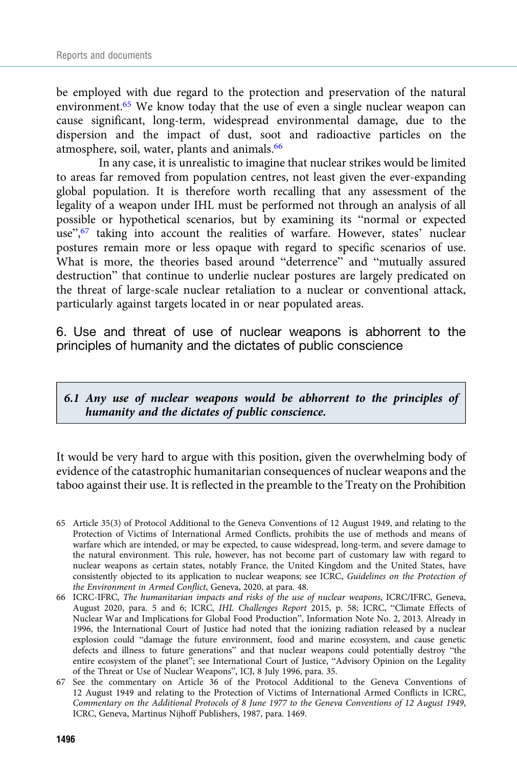be employed with due regard to the protection and preservation of the natural environment.<sup>65</sup> We know today that the use of even a single nuclear weapon can cause significant, long-term, widespread environmental damage, due to the dispersion and the impact of dust, soot and radioactive particles on the atmosphere, soil, water, plants and animals.<sup>66</sup>

In any case, it is unrealistic to imagine that nuclear strikes would be limited to areas far removed from population centres, not least given the ever-expanding global population. It is therefore worth recalling that any assessment of the legality of a weapon under IHL must be performed not through an analysis of all possible or hypothetical scenarios, but by examining its "normal or expected use",<sup>67</sup> taking into account the realities of warfare. However, states' nuclear postures remain more or less opaque with regard to specific scenarios of use. What is more, the theories based around "deterrence" and "mutually assured destruction" that continue to underlie nuclear postures are largely predicated on the threat of large-scale nuclear retaliation to a nuclear or conventional attack, particularly against targets located in or near populated areas.

6. Use and threat of use of nuclear weapons is abhorrent to the principles of humanity and the dictates of public conscience

6.1 Any use of nuclear weapons would be abhorrent to the principles of humanity and the dictates of public conscience.

It would be very hard to argue with this position, given the overwhelming body of evidence of the catastrophic humanitarian consequences of nuclear weapons and the taboo against their use. It is reflected in the preamble to the Treaty on the Prohibition

- 65 Article 35(3) of Protocol Additional to the Geneva Conventions of 12 August 1949, and relating to the Protection of Victims of International Armed Conflicts, prohibits the use of methods and means of warfare which are intended, or may be expected, to cause widespread, long-term, and severe damage to the natural environment. This rule, however, has not become part of customary law with regard to nuclear weapons as certain states, notably France, the United Kingdom and the United States, have consistently objected to its application to nuclear weapons; see ICRC, Guidelines on the Protection of the Environment in Armed Conflict, Geneva, 2020, at para. 48.
- 66 ICRC-IFRC, The humanitarian impacts and risks of the use of nuclear weapons, ICRC/IFRC, Geneva, August 2020, para. 5 and 6; ICRC, IHL Challenges Report 2015, p. 58; ICRC, "Climate Effects of Nuclear War and Implications for Global Food Production", Information Note No. 2, 2013. Already in 1996, the International Court of Justice had noted that the ionizing radiation released by a nuclear explosion could "damage the future environment, food and marine ecosystem, and cause genetic defects and illness to future generations" and that nuclear weapons could potentially destroy "the entire ecosystem of the planet"; see International Court of Justice, "Advisory Opinion on the Legality of the Threat or Use of Nuclear Weapons", ICJ, 8 July 1996, para. 35.
- 67 See the commentary on Article 36 of the Protocol Additional to the Geneva Conventions of 12 August 1949 and relating to the Protection of Victims of International Armed Conflicts in ICRC, Commentary on the Additional Protocols of 8 June 1977 to the Geneva Conventions of 12 August 1949, ICRC, Geneva, Martinus Nijhoff Publishers, 1987, para. 1469.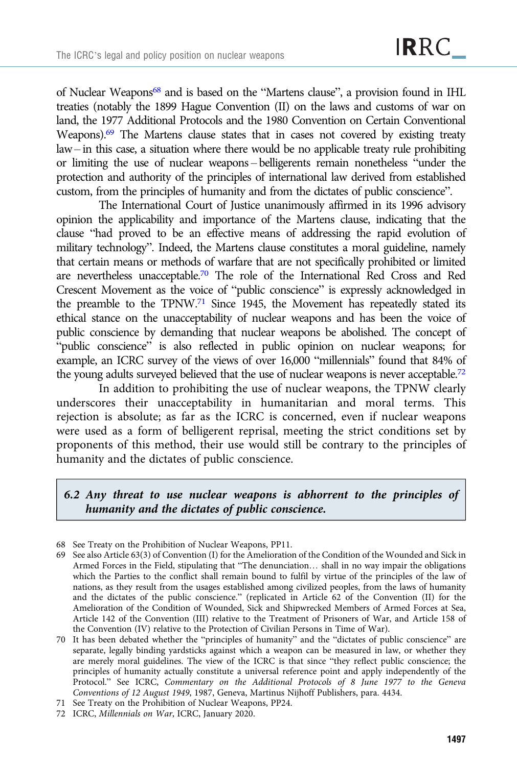of Nuclear Weapons68 and is based on the "Martens clause", a provision found in IHL treaties (notably the 1899 Hague Convention (II) on the laws and customs of war on land, the 1977 Additional Protocols and the 1980 Convention on Certain Conventional Weapons).69 The Martens clause states that in cases not covered by existing treaty law– in this case, a situation where there would be no applicable treaty rule prohibiting or limiting the use of nuclear weapons – belligerents remain nonetheless "under the protection and authority of the principles of international law derived from established custom, from the principles of humanity and from the dictates of public conscience".

The International Court of Justice unanimously affirmed in its 1996 advisory opinion the applicability and importance of the Martens clause, indicating that the clause "had proved to be an effective means of addressing the rapid evolution of military technology". Indeed, the Martens clause constitutes a moral guideline, namely that certain means or methods of warfare that are not specifically prohibited or limited are nevertheless unacceptable.70 The role of the International Red Cross and Red Crescent Movement as the voice of "public conscience" is expressly acknowledged in the preamble to the TPNW.71 Since 1945, the Movement has repeatedly stated its ethical stance on the unacceptability of nuclear weapons and has been the voice of public conscience by demanding that nuclear weapons be abolished. The concept of "public conscience" is also reflected in public opinion on nuclear weapons; for example, an ICRC survey of the views of over 16,000 "millennials" found that 84% of the young adults surveyed believed that the use of nuclear weapons is never acceptable.<sup>72</sup>

In addition to prohibiting the use of nuclear weapons, the TPNW clearly underscores their unacceptability in humanitarian and moral terms. This rejection is absolute; as far as the ICRC is concerned, even if nuclear weapons were used as a form of belligerent reprisal, meeting the strict conditions set by proponents of this method, their use would still be contrary to the principles of humanity and the dictates of public conscience.

## 6.2 Any threat to use nuclear weapons is abhorrent to the principles of humanity and the dictates of public conscience.

<sup>68</sup> See Treaty on the Prohibition of Nuclear Weapons, PP11.

<sup>69</sup> See also Article 63(3) of Convention (I) for the Amelioration of the Condition of the Wounded and Sick in Armed Forces in the Field, stipulating that "The denunciation… shall in no way impair the obligations which the Parties to the conflict shall remain bound to fulfil by virtue of the principles of the law of nations, as they result from the usages established among civilized peoples, from the laws of humanity and the dictates of the public conscience." (replicated in Article 62 of the Convention (II) for the Amelioration of the Condition of Wounded, Sick and Shipwrecked Members of Armed Forces at Sea, Article 142 of the Convention (III) relative to the Treatment of Prisoners of War, and Article 158 of the Convention (IV) relative to the Protection of Civilian Persons in Time of War).

<sup>70</sup> It has been debated whether the "principles of humanity" and the "dictates of public conscience" are separate, legally binding yardsticks against which a weapon can be measured in law, or whether they are merely moral guidelines. The view of the ICRC is that since "they reflect public conscience; the principles of humanity actually constitute a universal reference point and apply independently of the Protocol." See ICRC, Commentary on the Additional Protocols of 8 June 1977 to the Geneva Conventions of 12 August 1949, 1987, Geneva, Martinus Nijhoff Publishers, para. 4434.

<sup>71</sup> See Treaty on the Prohibition of Nuclear Weapons, PP24.

<sup>72</sup> ICRC, Millennials on War, ICRC, January 2020.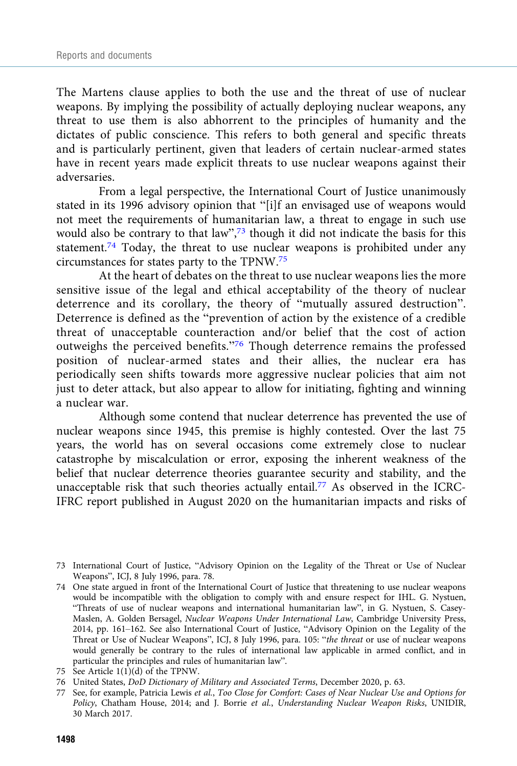The Martens clause applies to both the use and the threat of use of nuclear weapons. By implying the possibility of actually deploying nuclear weapons, any threat to use them is also abhorrent to the principles of humanity and the dictates of public conscience. This refers to both general and specific threats and is particularly pertinent, given that leaders of certain nuclear-armed states have in recent years made explicit threats to use nuclear weapons against their adversaries.

From a legal perspective, the International Court of Justice unanimously stated in its 1996 advisory opinion that "[i]f an envisaged use of weapons would not meet the requirements of humanitarian law, a threat to engage in such use would also be contrary to that law",<sup>73</sup> though it did not indicate the basis for this statement.74 Today, the threat to use nuclear weapons is prohibited under any circumstances for states party to the TPNW.75

At the heart of debates on the threat to use nuclear weapons lies the more sensitive issue of the legal and ethical acceptability of the theory of nuclear deterrence and its corollary, the theory of "mutually assured destruction". Deterrence is defined as the "prevention of action by the existence of a credible threat of unacceptable counteraction and/or belief that the cost of action outweighs the perceived benefits."<sup>76</sup> Though deterrence remains the professed position of nuclear-armed states and their allies, the nuclear era has periodically seen shifts towards more aggressive nuclear policies that aim not just to deter attack, but also appear to allow for initiating, fighting and winning a nuclear war.

Although some contend that nuclear deterrence has prevented the use of nuclear weapons since 1945, this premise is highly contested. Over the last 75 years, the world has on several occasions come extremely close to nuclear catastrophe by miscalculation or error, exposing the inherent weakness of the belief that nuclear deterrence theories guarantee security and stability, and the unacceptable risk that such theories actually entail.77 As observed in the ICRC-IFRC report published in August 2020 on the humanitarian impacts and risks of

<sup>73</sup> International Court of Justice, "Advisory Opinion on the Legality of the Threat or Use of Nuclear Weapons", ICJ, 8 July 1996, para. 78.

<sup>74</sup> One state argued in front of the International Court of Justice that threatening to use nuclear weapons would be incompatible with the obligation to comply with and ensure respect for IHL. G. Nystuen, "Threats of use of nuclear weapons and international humanitarian law", in G. Nystuen, S. Casey-Maslen, A. Golden Bersagel, Nuclear Weapons Under International Law, Cambridge University Press, 2014, pp. 161–162. See also International Court of Justice, "Advisory Opinion on the Legality of the Threat or Use of Nuclear Weapons", ICJ, 8 July 1996, para. 105: "the threat or use of nuclear weapons would generally be contrary to the rules of international law applicable in armed conflict, and in particular the principles and rules of humanitarian law".

<sup>75</sup> See Article 1(1)(d) of the TPNW.

<sup>76</sup> United States, DoD Dictionary of Military and Associated Terms, December 2020, p. 63.

<sup>77</sup> See, for example, Patricia Lewis et al., Too Close for Comfort: Cases of Near Nuclear Use and Options for Policy, Chatham House, 2014; and J. Borrie et al., Understanding Nuclear Weapon Risks, UNIDIR, 30 March 2017.